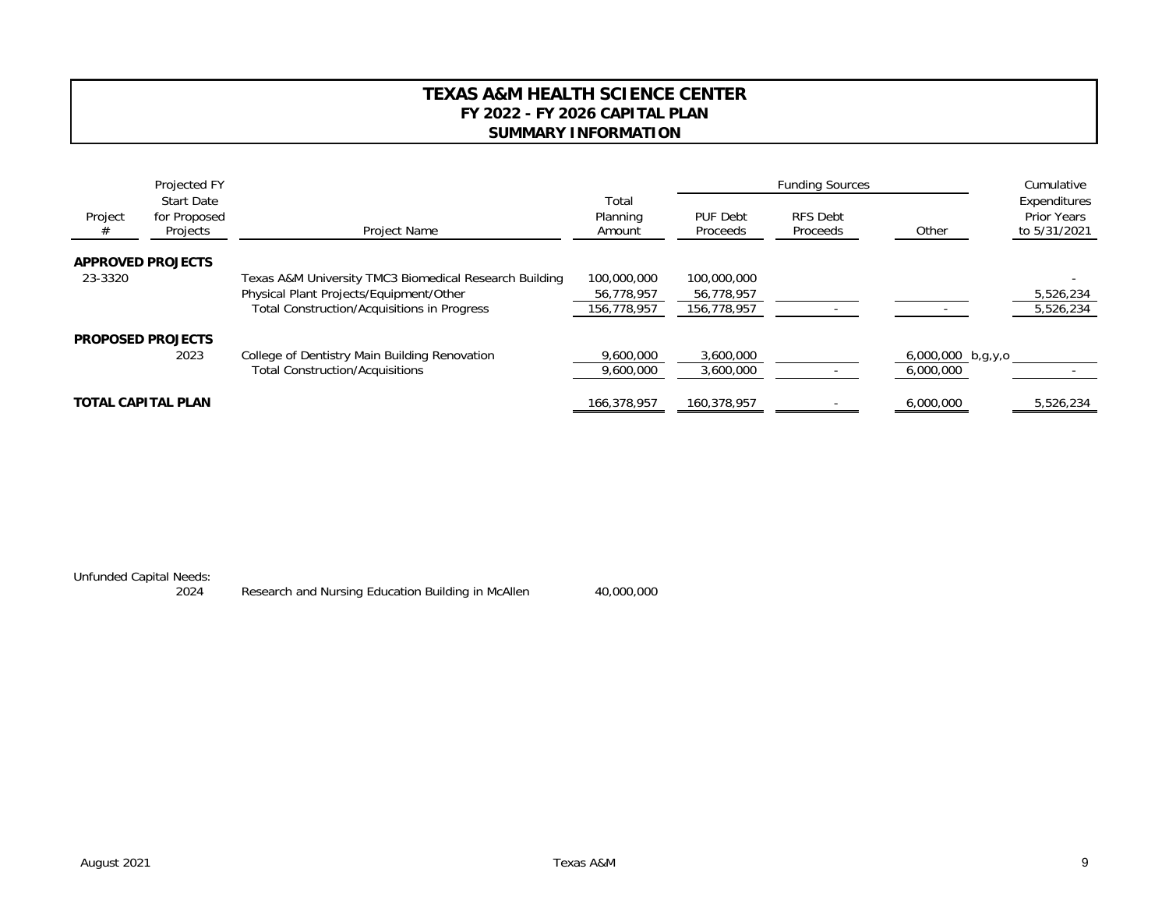## **TEXAS A&M HEALTH SCIENCE CENTERFY 2022 - FY 2026 CAPITAL PLANSUMMARY INFORMATION**

|              | Projected FY<br><b>Start Date</b><br>for Proposed<br>Projects | Project Name                                           | Total<br>Planning<br>Amount |                      |                             | Cumulative          |                                                    |
|--------------|---------------------------------------------------------------|--------------------------------------------------------|-----------------------------|----------------------|-----------------------------|---------------------|----------------------------------------------------|
| Project<br># |                                                               |                                                        |                             | PUF Debt<br>Proceeds | <b>RFS Debt</b><br>Proceeds | Other               | Expenditures<br><b>Prior Years</b><br>to 5/31/2021 |
|              | <b>APPROVED PROJECTS</b>                                      |                                                        |                             |                      |                             |                     |                                                    |
| 23-3320      |                                                               | Texas A&M University TMC3 Biomedical Research Building | 100,000,000                 | 100,000,000          |                             |                     |                                                    |
|              |                                                               | Physical Plant Projects/Equipment/Other                | 56.778.957                  | 56,778,957           |                             |                     | 5,526,234                                          |
|              |                                                               | Total Construction/Acquisitions in Progress            | 156,778,957                 | 156,778,957          |                             |                     | 5,526,234                                          |
|              | <b>PROPOSED PROJECTS</b>                                      |                                                        |                             |                      |                             |                     |                                                    |
|              | 2023                                                          | College of Dentistry Main Building Renovation          | 9,600,000                   | 3,600,000            |                             | $6,000,000$ b,g,y,o |                                                    |
|              |                                                               | <b>Total Construction/Acquisitions</b>                 | 9,600,000                   | 3,600,000            |                             | 6,000,000           |                                                    |
|              | <b>TOTAL CAPITAL PLAN</b>                                     |                                                        | 166,378,957                 | 160,378,957          |                             | 6,000,000           | 5,526,234                                          |

Unfunded Capital Needs:

2024 Research and Nursing Education Building in McAllen 40,000,000